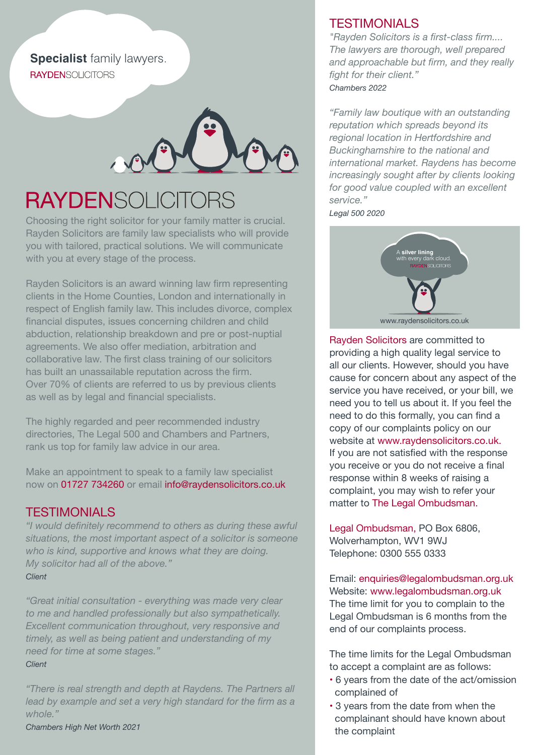**Specialist** family lawyers. **RAYDENSOLICITORS** 



## **RAYDENSOLICITORS**

Choosing the right solicitor for your family matter is crucial. Rayden Solicitors are family law specialists who will provide you with tailored, practical solutions. We will communicate with you at every stage of the process.

Rayden Solicitors is an award winning law firm representing clients in the Home Counties, London and internationally in respect of English family law. This includes divorce, complex financial disputes, issues concerning children and child abduction, relationship breakdown and pre or post-nuptial agreements. We also offer mediation, arbitration and collaborative law. The first class training of our solicitors has built an unassailable reputation across the firm. Over 70% of clients are referred to us by previous clients as well as by legal and financial specialists.

The highly regarded and peer recommended industry directories, The Legal 500 and Chambers and Partners, rank us top for family law advice in our area.

Make an appointment to speak to a family law specialist now on 01727 734260 or email info@raydensolicitors.co.uk

#### **TESTIMONIALS**

*"I would definitely recommend to others as during these awful situations, the most important aspect of a solicitor is someone who is kind, supportive and knows what they are doing. My solicitor had all of the above." Client*

*"Great initial consultation - everything was made very clear to me and handled professionally but also sympathetically. Excellent communication throughout, very responsive and timely, as well as being patient and understanding of my need for time at some stages." Client* 

*"There is real strength and depth at Raydens. The Partners all lead by example and set a very high standard for the firm as a whole."*

*Chambers High Net Worth 2021*

### **TESTIMONIALS**

*"Rayden Solicitors is a first-class firm.... The lawyers are thorough, well prepared and approachable but firm, and they really fight for their client." Chambers 2022*

*"Family law boutique with an outstanding reputation which spreads beyond its regional location in Hertfordshire and Buckinghamshire to the national and international market. Raydens has become increasingly sought after by clients looking for good value coupled with an excellent service."* 

*Legal 500 2020*



Rayden Solicitors are committed to providing a high quality legal service to all our clients. However, should you have cause for concern about any aspect of the service you have received, or your bill, we need you to tell us about it. If you feel the need to do this formally, you can find a copy of our complaints policy on our website at www.raydensolicitors.co.uk. If you are not satisfied with the response you receive or you do not receive a final response within 8 weeks of raising a complaint, you may wish to refer your matter to The Legal Ombudsman.

Legal Ombudsman, PO Box 6806, Wolverhampton, WV1 9WJ Telephone: 0300 555 0333

Email: enquiries@legalombudsman.org.uk Website: www.legalombudsman.org.uk The time limit for you to complain to the Legal Ombudsman is 6 months from the end of our complaints process.

The time limits for the Legal Ombudsman to accept a complaint are as follows:

- 6 years from the date of the act/omission complained of
- 3 years from the date from when the complainant should have known about the complaint